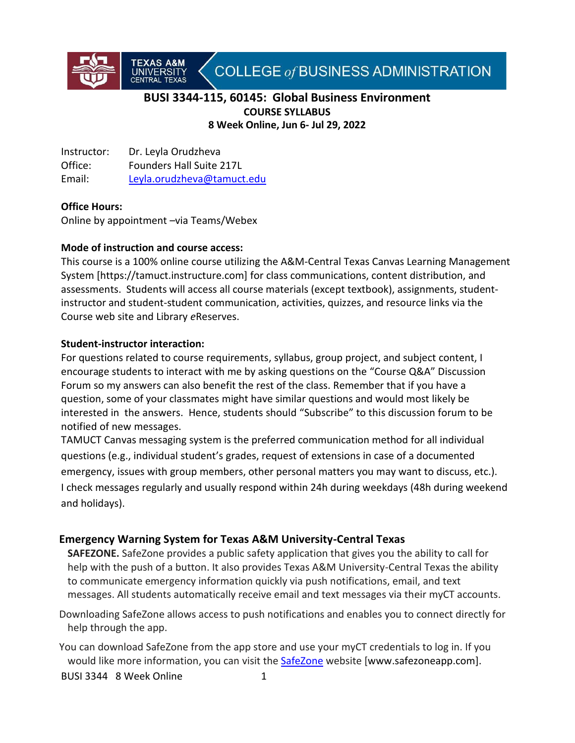COLLEGE of BUSINESS ADMINISTRATION

# **BUSI 3344-115, 60145: Global Business Environment COURSE SYLLABUS 8 Week Online, Jun 6- Jul 29, 2022**

Instructor: Dr. Leyla Orudzheva Office: Founders Hall Suite 217L Email: [Leyla.orudzheva@tamuct.edu](mailto:Leyla.orudzheva@tamuct.edu)

**TEXAS A&M<br>UNIVERSITY** 

### **Office Hours:**

Online by appointment –via Teams/Webex

### **Mode of instruction and course access:**

This course is a 100% online course utilizing the A&M-Central Texas Canvas Learning Management System [https://tamuct.instructure.com] for class communications, content distribution, and assessments. Students will access all course materials (except textbook), assignments, studentinstructor and student-student communication, activities, quizzes, and resource links via the Course web site and Library *e*Reserves.

#### **Student-instructor interaction:**

For questions related to course requirements, syllabus, group project, and subject content, I encourage students to interact with me by asking questions on the "Course Q&A" Discussion Forum so my answers can also benefit the rest of the class. Remember that if you have a question, some of your classmates might have similar questions and would most likely be interested in the answers. Hence, students should "Subscribe" to this discussion forum to be notified of new messages.

TAMUCT Canvas messaging system is the preferred communication method for all individual questions (e.g., individual student's grades, request of extensions in case of a documented emergency, issues with group members, other personal matters you may want to discuss, etc.). I check messages regularly and usually respond within 24h during weekdays (48h during weekend and holidays).

### **Emergency Warning System for Texas A&M University-Central Texas**

**SAFEZONE.** SafeZone provides a public safety application that gives you the ability to call for help with the push of a button. It also provides Texas A&M University-Central Texas the ability to communicate emergency information quickly via push notifications, email, and text messages. All students automatically receive email and text messages via their myCT accounts.

Downloading SafeZone allows access to push notifications and enables you to connect directly for help through the app.

You can download SafeZone from the app store and use your myCT credentials to log in. If you would like more information, you can visit the [SafeZone](http://www.safezoneapp.com/) website [www.safezoneapp.com].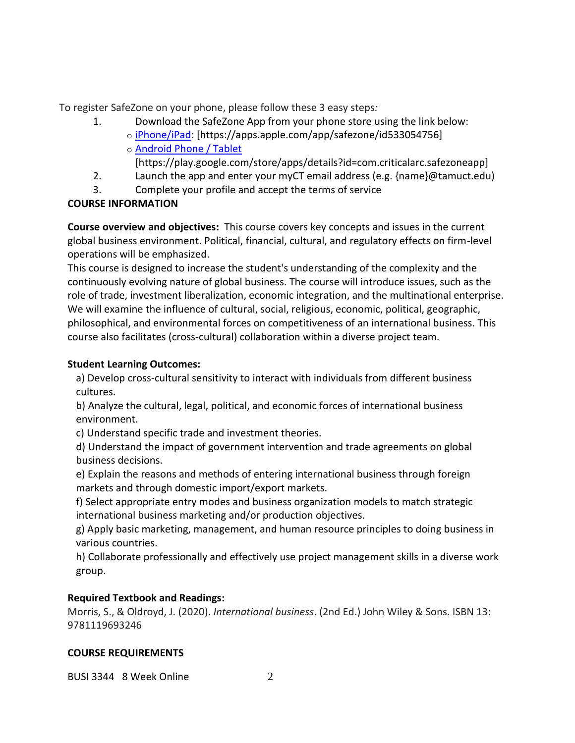To register SafeZone on your phone, please follow these 3 easy steps*:*

- 1. Download the SafeZone App from your phone store using the link below:
	- o [iPhone/iPad:](https://apps.apple.com/app/safezone/id533054756) [https://apps.apple.com/app/safezone/id533054756] o [Android Phone / Tablet](https://play.google.com/store/apps/details?id=com.criticalarc.safezoneapp)

[https://play.google.com/store/apps/details?id=com.criticalarc.safezoneapp]

- 2. Launch the app and enter your myCT email address (e.g. {name}@tamuct.edu)
- 3. Complete your profile and accept the terms of service

# **COURSE INFORMATION**

**Course overview and objectives:** This course covers key concepts and issues in the current global business environment. Political, financial, cultural, and regulatory effects on firm-level operations will be emphasized.

This course is designed to increase the student's understanding of the complexity and the continuously evolving nature of global business. The course will introduce issues, such as the role of trade, investment liberalization, economic integration, and the multinational enterprise. We will examine the influence of cultural, social, religious, economic, political, geographic, philosophical, and environmental forces on competitiveness of an international business. This course also facilitates (cross-cultural) collaboration within a diverse project team.

# **Student Learning Outcomes:**

a) Develop cross-cultural sensitivity to interact with individuals from different business cultures.

b) Analyze the cultural, legal, political, and economic forces of international business environment.

c) Understand specific trade and investment theories.

d) Understand the impact of government intervention and trade agreements on global business decisions.

e) Explain the reasons and methods of entering international business through foreign markets and through domestic import/export markets.

f) Select appropriate entry modes and business organization models to match strategic international business marketing and/or production objectives.

g) Apply basic marketing, management, and human resource principles to doing business in various countries.

h) Collaborate professionally and effectively use project management skills in a diverse work group.

# **Required Textbook and Readings:**

Morris, S., & Oldroyd, J. (2020). *International business*. (2nd Ed.) John Wiley & Sons. ISBN 13: 9781119693246

### **COURSE REQUIREMENTS**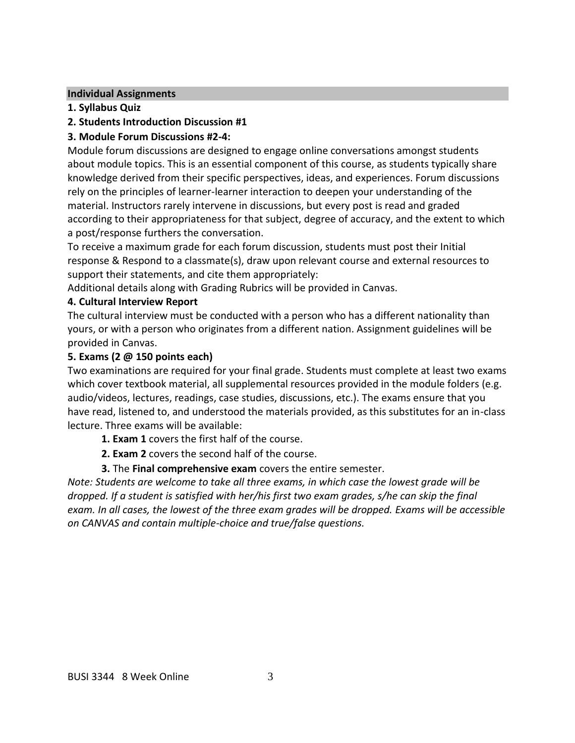#### **Individual Assignments**

- **1. Syllabus Quiz**
- **2. Students Introduction Discussion #1**

# **3. Module Forum Discussions #2-4:**

Module forum discussions are designed to engage online conversations amongst students about module topics. This is an essential component of this course, as students typically share knowledge derived from their specific perspectives, ideas, and experiences. Forum discussions rely on the principles of learner-learner interaction to deepen your understanding of the material. Instructors rarely intervene in discussions, but every post is read and graded according to their appropriateness for that subject, degree of accuracy, and the extent to which a post/response furthers the conversation.

To receive a maximum grade for each forum discussion, students must post their Initial response & Respond to a classmate(s), draw upon relevant course and external resources to support their statements, and cite them appropriately:

Additional details along with Grading Rubrics will be provided in Canvas.

### **4. Cultural Interview Report**

The cultural interview must be conducted with a person who has a different nationality than yours, or with a person who originates from a different nation. Assignment guidelines will be provided in Canvas.

# **5. Exams (2 @ 150 points each)**

Two examinations are required for your final grade. Students must complete at least two exams which cover textbook material, all supplemental resources provided in the module folders (e.g. audio/videos, lectures, readings, case studies, discussions, etc.). The exams ensure that you have read, listened to, and understood the materials provided, as this substitutes for an in-class lecture. Three exams will be available:

- **1. Exam 1** covers the first half of the course.
- **2. Exam 2** covers the second half of the course.
- **3.** The **Final comprehensive exam** covers the entire semester.

*Note: Students are welcome to take all three exams, in which case the lowest grade will be dropped. If a student is satisfied with her/his first two exam grades, s/he can skip the final exam. In all cases, the lowest of the three exam grades will be dropped. Exams will be accessible on CANVAS and contain multiple-choice and true/false questions.*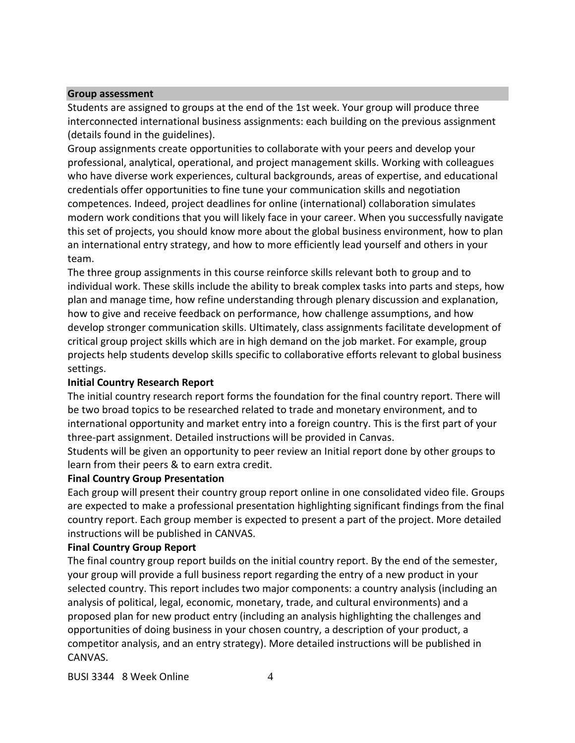#### **Group assessment**

Students are assigned to groups at the end of the 1st week. Your group will produce three interconnected international business assignments: each building on the previous assignment (details found in the guidelines).

Group assignments create opportunities to collaborate with your peers and develop your professional, analytical, operational, and project management skills. Working with colleagues who have diverse work experiences, cultural backgrounds, areas of expertise, and educational credentials offer opportunities to fine tune your communication skills and negotiation competences. Indeed, project deadlines for online (international) collaboration simulates modern work conditions that you will likely face in your career. When you successfully navigate this set of projects, you should know more about the global business environment, how to plan an international entry strategy, and how to more efficiently lead yourself and others in your team.

The three group assignments in this course reinforce skills relevant both to group and to individual work. These skills include the ability to break complex tasks into parts and steps, how plan and manage time, how refine understanding through plenary discussion and explanation, how to give and receive feedback on performance, how challenge assumptions, and how develop stronger communication skills. Ultimately, class assignments facilitate development of critical group project skills which are in high demand on the job market. For example, group projects help students develop skills specific to collaborative efforts relevant to global business settings.

#### **Initial Country Research Report**

The initial country research report forms the foundation for the final country report. There will be two broad topics to be researched related to trade and monetary environment, and to international opportunity and market entry into a foreign country. This is the first part of your three-part assignment. Detailed instructions will be provided in Canvas.

Students will be given an opportunity to peer review an Initial report done by other groups to learn from their peers & to earn extra credit.

#### **Final Country Group Presentation**

Each group will present their country group report online in one consolidated video file. Groups are expected to make a professional presentation highlighting significant findings from the final country report. Each group member is expected to present a part of the project. More detailed instructions will be published in CANVAS.

#### **Final Country Group Report**

The final country group report builds on the initial country report. By the end of the semester, your group will provide a full business report regarding the entry of a new product in your selected country. This report includes two major components: a country analysis (including an analysis of political, legal, economic, monetary, trade, and cultural environments) and a proposed plan for new product entry (including an analysis highlighting the challenges and opportunities of doing business in your chosen country, a description of your product, a competitor analysis, and an entry strategy). More detailed instructions will be published in CANVAS.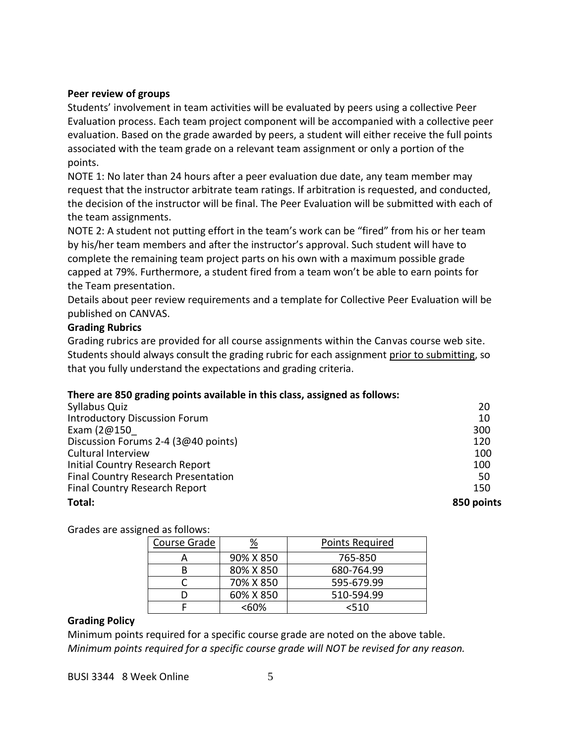#### **Peer review of groups**

Students' involvement in team activities will be evaluated by peers using a collective Peer Evaluation process. Each team project component will be accompanied with a collective peer evaluation. Based on the grade awarded by peers, a student will either receive the full points associated with the team grade on a relevant team assignment or only a portion of the points.

NOTE 1: No later than 24 hours after a peer evaluation due date, any team member may request that the instructor arbitrate team ratings. If arbitration is requested, and conducted, the decision of the instructor will be final. The Peer Evaluation will be submitted with each of the team assignments.

NOTE 2: A student not putting effort in the team's work can be "fired" from his or her team by his/her team members and after the instructor's approval. Such student will have to complete the remaining team project parts on his own with a maximum possible grade capped at 79%. Furthermore, a student fired from a team won't be able to earn points for the Team presentation.

Details about peer review requirements and a template for Collective Peer Evaluation will be published on CANVAS.

#### **Grading Rubrics**

Grading rubrics are provided for all course assignments within the Canvas course web site. Students should always consult the grading rubric for each assignment prior to submitting, so that you fully understand the expectations and grading criteria.

### **There are 850 grading points available in this class, assigned as follows:**

| 850 points |
|------------|
| 150        |
| 50         |
| 100        |
| 100        |
| 120        |
| 300        |
| 10         |
| 20         |
|            |

Grades are assigned as follows:

| Course Grade | <u>%</u>  | <b>Points Required</b> |
|--------------|-----------|------------------------|
|              | 90% X 850 | 765-850                |
|              | 80% X 850 | 680-764.99             |
|              | 70% X 850 | 595-679.99             |
|              | 60% X 850 | 510-594.99             |
|              | <60%      | <510                   |

#### **Grading Policy**

Minimum points required for a specific course grade are noted on the above table. *Minimum points required for a specific course grade will NOT be revised for any reason.*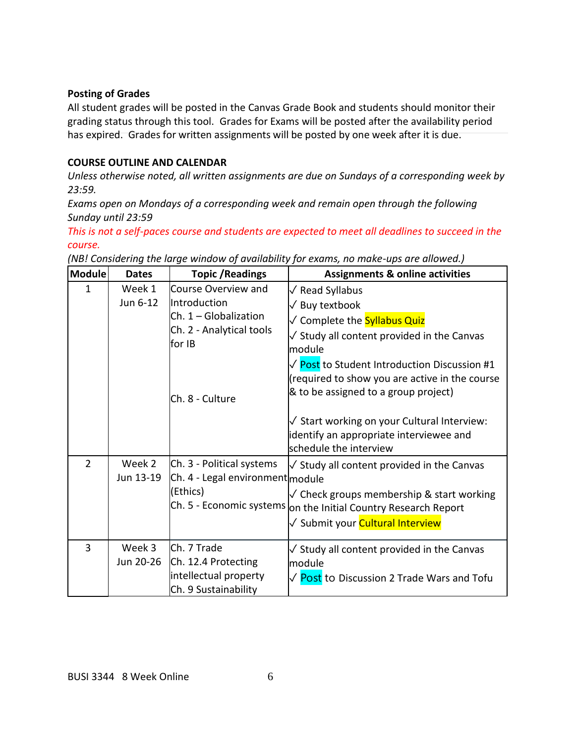#### **Posting of Grades**

All student grades will be posted in the Canvas Grade Book and students should monitor their grading status through this tool. Grades for Exams will be posted after the availability period has expired. Grades for written assignments will be posted by one week after it is due.

#### **COURSE OUTLINE AND CALENDAR**

*Unless otherwise noted, all written assignments are due on Sundays of a corresponding week by 23:59.*

*Exams open on Mondays of a corresponding week and remain open through the following Sunday until 23:59*

*This is not a self-paces course and students are expected to meet all deadlines to succeed in the course.*

| Module         | <b>Dates</b>        | <b>Topic / Readings</b>                                                                                                 | <b>Assignments &amp; online activities</b>                                                                                                                                                                                                                                                                                                                                                                  |
|----------------|---------------------|-------------------------------------------------------------------------------------------------------------------------|-------------------------------------------------------------------------------------------------------------------------------------------------------------------------------------------------------------------------------------------------------------------------------------------------------------------------------------------------------------------------------------------------------------|
| 1              | Week 1<br>Jun 6-12  | Course Overview and<br>Introduction<br>$Ch. 1 - Globalization$<br>Ch. 2 - Analytical tools<br>for IB<br>Ch. 8 - Culture | √ Read Syllabus<br>$\sqrt{ }$ Buy textbook<br>√ Complete the Syllabus Quiz<br>$\sqrt{\ }$ Study all content provided in the Canvas<br>lmodule<br>√ Post to Student Introduction Discussion #1<br>(required to show you are active in the course<br>& to be assigned to a group project)<br>√ Start working on your Cultural Interview:<br>identify an appropriate interviewee and<br>schedule the interview |
| $\overline{2}$ | Week 2<br>Jun 13-19 | Ch. 3 - Political systems<br>Ch. 4 - Legal environment module<br>(Ethics)                                               | $\sqrt{\ }$ Study all content provided in the Canvas<br>$\sqrt{\ }$ Check groups membership & start working<br>Ch. 5 - Economic systems on the Initial Country Research Report<br>√ Submit your <mark>Cultural Interview</mark>                                                                                                                                                                             |
| 3              | Week 3<br>Jun 20-26 | Ch. 7 Trade<br>Ch. 12.4 Protecting<br>intellectual property<br>Ch. 9 Sustainability                                     | $\sqrt{\ }$ Study all content provided in the Canvas<br>module<br>√ Post to Discussion 2 Trade Wars and Tofu                                                                                                                                                                                                                                                                                                |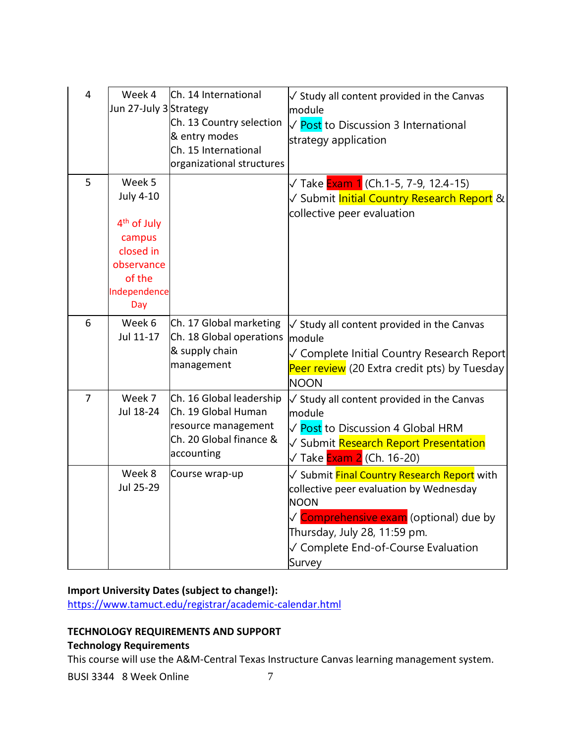| $\overline{4}$ | Week 4<br>Jun 27-July 3Strategy                                                                                             | Ch. 14 International<br>Ch. 13 Country selection<br>& entry modes<br>Ch. 15 International<br>organizational structures | $\sqrt{ }$ Study all content provided in the Canvas<br>module<br>√ Post to Discussion 3 International<br>strategy application                                                                                                                 |
|----------------|-----------------------------------------------------------------------------------------------------------------------------|------------------------------------------------------------------------------------------------------------------------|-----------------------------------------------------------------------------------------------------------------------------------------------------------------------------------------------------------------------------------------------|
| 5              | Week 5<br><b>July 4-10</b><br>4 <sup>th</sup> of July<br>campus<br>closed in<br>observance<br>of the<br>Independence<br>Day |                                                                                                                        | √ Take <mark>Exam 1</mark> (Ch.1-5, 7-9, 12.4-15)<br>✓ Submit <mark>Initial Country Research Report</mark> &<br>collective peer evaluation                                                                                                    |
| 6              | Week 6<br>Jul 11-17                                                                                                         | Ch. 17 Global marketing<br>Ch. 18 Global operations<br>& supply chain<br>management                                    | $\sqrt{ }$ Study all content provided in the Canvas<br>module<br>√ Complete Initial Country Research Report<br>Peer review (20 Extra credit pts) by Tuesday<br><b>NOON</b>                                                                    |
| $\overline{7}$ | Week 7<br>Jul 18-24                                                                                                         | Ch. 16 Global leadership<br>Ch. 19 Global Human<br>resource management<br>Ch. 20 Global finance &<br>accounting        | $\sqrt{ }$ Study all content provided in the Canvas<br>module<br>√ Post to Discussion 4 Global HRM<br>√ Submit Research Report Presentation<br>√ Take <mark>Exam 2</mark> (Ch. 16-20)                                                         |
|                | Week 8<br>Jul 25-29                                                                                                         | Course wrap-up                                                                                                         | √ Submit <mark>Final Country Research Report</mark> with<br>collective peer evaluation by Wednesday<br><b>NOON</b><br>√ Comprehensive exam (optional) due by<br>Thursday, July 28, 11:59 pm.<br>√ Complete End-of-Course Evaluation<br>Survey |

# **Import University Dates (subject to change!):**

<https://www.tamuct.edu/registrar/academic-calendar.html>

## **TECHNOLOGY REQUIREMENTS AND SUPPORT**

### **Technology Requirements**

This course will use the A&M-Central Texas Instructure Canvas learning management system.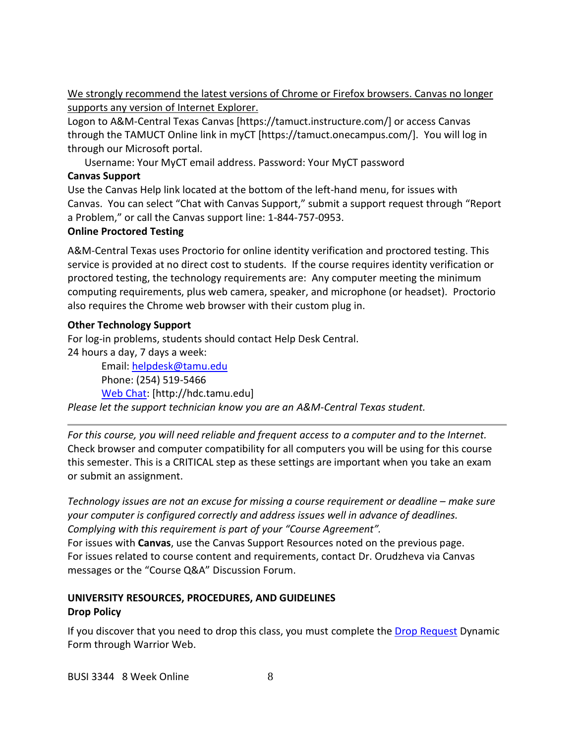We strongly recommend the latest versions of Chrome or Firefox browsers. Canvas no longer supports any version of Internet Explorer.

Logon to A&M-Central Texas Canvas [https://tamuct.instructure.com/] or access Canvas through the TAMUCT Online link in myCT [https://tamuct.onecampus.com/]. You will log in through our Microsoft portal.

Username: Your MyCT email address. Password: Your MyCT password

# **Canvas Support**

Use the Canvas Help link located at the bottom of the left-hand menu, for issues with Canvas. You can select "Chat with Canvas Support," submit a support request through "Report a Problem," or call the Canvas support line: 1-844-757-0953.

### **Online Proctored Testing**

A&M-Central Texas uses Proctorio for online identity verification and proctored testing. This service is provided at no direct cost to students. If the course requires identity verification or proctored testing, the technology requirements are: Any computer meeting the minimum computing requirements, plus web camera, speaker, and microphone (or headset). Proctorio also requires the Chrome web browser with their custom plug in.

# **Other Technology Support**

For log-in problems, students should contact Help Desk Central.

24 hours a day, 7 days a week:

Email: [helpdesk@tamu.edu](mailto:helpdesk@tamu.edu) Phone: (254) 519-5466 [Web Chat:](http://hdc.tamu.edu/) [http://hdc.tamu.edu] *Please let the support technician know you are an A&M-Central Texas student.*

*For this course, you will need reliable and frequent access to a computer and to the Internet.*  Check browser and computer compatibility for all computers you will be using for this course this semester. This is a CRITICAL step as these settings are important when you take an exam or submit an assignment.

*Technology issues are not an excuse for missing a course requirement or deadline – make sure your computer is configured correctly and address issues well in advance of deadlines. Complying with this requirement is part of your "Course Agreement".*

For issues with **Canvas**, use the Canvas Support Resources noted on the previous page. For issues related to course content and requirements, contact Dr. Orudzheva via Canvas messages or the "Course Q&A" Discussion Forum.

# **UNIVERSITY RESOURCES, PROCEDURES, AND GUIDELINES Drop Policy**

If you discover that you need to drop this class, you must complete the [Drop Request](https://dynamicforms.ngwebsolutions.com/casAuthentication.ashx?InstID=eaed95b9-f2be-45f3-a37d-46928168bc10&targetUrl=https%3A%2F%2Fdynamicforms.ngwebsolutions.com%2FSubmit%2FForm%2FStart%2F53b8369e-0502-4f36-be43-f02a4202f612) Dynamic Form through Warrior Web.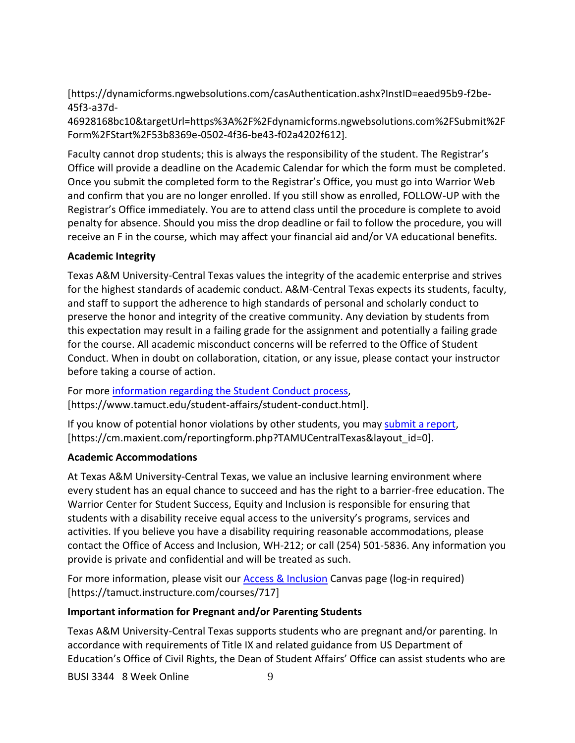[https://dynamicforms.ngwebsolutions.com/casAuthentication.ashx?InstID=eaed95b9-f2be-45f3-a37d-

46928168bc10&targetUrl=https%3A%2F%2Fdynamicforms.ngwebsolutions.com%2FSubmit%2F Form%2FStart%2F53b8369e-0502-4f36-be43-f02a4202f612].

Faculty cannot drop students; this is always the responsibility of the student. The Registrar's Office will provide a deadline on the Academic Calendar for which the form must be completed. Once you submit the completed form to the Registrar's Office, you must go into Warrior Web and confirm that you are no longer enrolled. If you still show as enrolled, FOLLOW-UP with the Registrar's Office immediately. You are to attend class until the procedure is complete to avoid penalty for absence. Should you miss the drop deadline or fail to follow the procedure, you will receive an F in the course, which may affect your financial aid and/or VA educational benefits.

# **Academic Integrity**

Texas A&M University-Central Texas values the integrity of the academic enterprise and strives for the highest standards of academic conduct. A&M-Central Texas expects its students, faculty, and staff to support the adherence to high standards of personal and scholarly conduct to preserve the honor and integrity of the creative community. Any deviation by students from this expectation may result in a failing grade for the assignment and potentially a failing grade for the course. All academic misconduct concerns will be referred to the Office of Student Conduct. When in doubt on collaboration, citation, or any issue, please contact your instructor before taking a course of action.

For more [information](https://nam04.safelinks.protection.outlook.com/?url=https%3A%2F%2Fwww.tamuct.edu%2Fstudent-affairs%2Fstudent-conduct.html&data=04%7C01%7Clisa.bunkowski%40tamuct.edu%7Ccfb6e486f24745f53e1a08d910055cb2%7C9eed4e3000f744849ff193ad8005acec%7C0%7C0%7C637558437485252160%7CUnknown%7CTWFpbGZsb3d8eyJWIjoiMC4wLjAwMDAiLCJQIjoiV2luMzIiLCJBTiI6Ik1haWwiLCJXVCI6Mn0%3D%7C1000&sdata=yjftDEVHvLX%2FhM%2FcFU0B99krV1RgEWR%2BJ%2BhvtoR6TYk%3D&reserved=0) regarding the Student Conduct process, [https://www.tamuct.edu/student-affairs/student-conduct.html].

If you know of potential honor violations by other students, you may [submit](https://nam04.safelinks.protection.outlook.com/?url=https%3A%2F%2Fcm.maxient.com%2Freportingform.php%3FTAMUCentralTexas%26layout_id%3D0&data=04%7C01%7Clisa.bunkowski%40tamuct.edu%7Ccfb6e486f24745f53e1a08d910055cb2%7C9eed4e3000f744849ff193ad8005acec%7C0%7C0%7C637558437485262157%7CUnknown%7CTWFpbGZsb3d8eyJWIjoiMC4wLjAwMDAiLCJQIjoiV2luMzIiLCJBTiI6Ik1haWwiLCJXVCI6Mn0%3D%7C1000&sdata=CXGkOa6uPDPX1IMZ87z3aZDq2n91xfHKu4MMS43Ejjk%3D&reserved=0) a report, [https://cm.maxient.com/reportingform.php?TAMUCentralTexas&layout\_id=0].

### **Academic Accommodations**

At Texas A&M University-Central Texas, we value an inclusive learning environment where every student has an equal chance to succeed and has the right to a barrier-free education. The Warrior Center for Student Success, Equity and Inclusion is responsible for ensuring that students with a disability receive equal access to the university's programs, services and activities. If you believe you have a disability requiring reasonable accommodations, please contact the Office of Access and Inclusion, WH-212; or call (254) 501-5836. Any information you provide is private and confidential and will be treated as such.

For more information, please visit our [Access & Inclusion](https://tamuct.instructure.com/courses/717) Canvas page (log-in required) [https://tamuct.instructure.com/courses/717]

# **Important information for Pregnant and/or Parenting Students**

Texas A&M University-Central Texas supports students who are pregnant and/or parenting. In accordance with requirements of Title IX and related guidance from US Department of Education's Office of Civil Rights, the Dean of Student Affairs' Office can assist students who are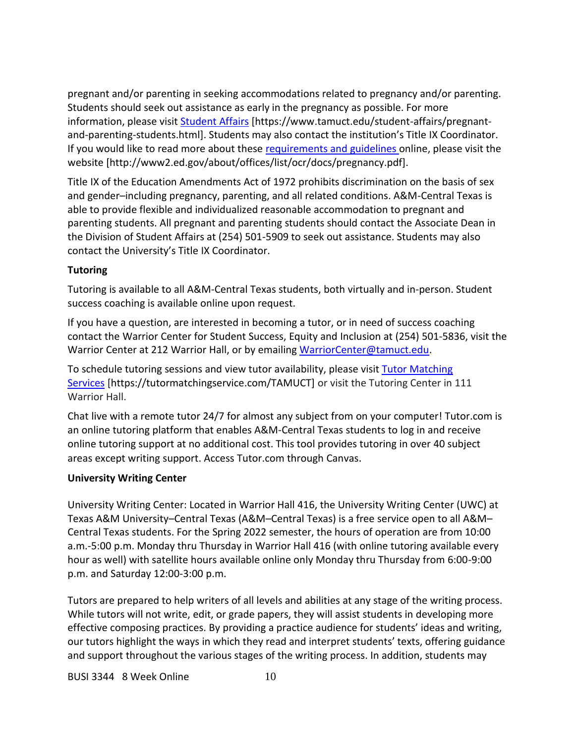pregnant and/or parenting in seeking accommodations related to pregnancy and/or parenting. Students should seek out assistance as early in the pregnancy as possible. For more information, please visit [Student Affairs](https://www.tamuct.edu/student-affairs/pregnant-and-parenting-students.html) [https://www.tamuct.edu/student-affairs/pregnantand-parenting-students.html]. Students may also contact the institution's Title IX Coordinator. If you would like to read more about these [requirements and guidelines](http://www2.ed.gov/about/offices/list/ocr/docs/pregnancy.pdf) online, please visit the website [http://www2.ed.gov/about/offices/list/ocr/docs/pregnancy.pdf].

Title IX of the Education Amendments Act of 1972 prohibits discrimination on the basis of sex and gender–including pregnancy, parenting, and all related conditions. A&M-Central Texas is able to provide flexible and individualized reasonable accommodation to pregnant and parenting students. All pregnant and parenting students should contact the Associate Dean in the Division of Student Affairs at (254) 501-5909 to seek out assistance. Students may also contact the University's Title IX Coordinator.

### **Tutoring**

Tutoring is available to all A&M-Central Texas students, both virtually and in-person. Student success coaching is available online upon request.

If you have a question, are interested in becoming a tutor, or in need of success coaching contact the Warrior Center for Student Success, Equity and Inclusion at (254) 501-5836, visit the Warrior Center at 212 Warrior Hall, or by emailing [WarriorCenter@tamuct.edu.](mailto:WarriorCenter@tamuct.edu)

To schedule tutoring sessions and view tutor availability, please visit Tutor [Matching](https://tutormatchingservice.com/TAMUCT) [Services](https://tutormatchingservice.com/TAMUCT) [https://tutormatchingservice.com/TAMUCT] or visit the Tutoring Center in 111 Warrior Hall.

Chat live with a remote tutor 24/7 for almost any subject from on your computer! Tutor.com is an online tutoring platform that enables A&M-Central Texas students to log in and receive online tutoring support at no additional cost. This tool provides tutoring in over 40 subject areas except writing support. Access Tutor.com through Canvas.

### **University Writing Center**

University Writing Center: Located in Warrior Hall 416, the University Writing Center (UWC) at Texas A&M University–Central Texas (A&M–Central Texas) is a free service open to all A&M– Central Texas students. For the Spring 2022 semester, the hours of operation are from 10:00 a.m.-5:00 p.m. Monday thru Thursday in Warrior Hall 416 (with online tutoring available every hour as well) with satellite hours available online only Monday thru Thursday from 6:00-9:00 p.m. and Saturday 12:00-3:00 p.m.

Tutors are prepared to help writers of all levels and abilities at any stage of the writing process. While tutors will not write, edit, or grade papers, they will assist students in developing more effective composing practices. By providing a practice audience for students' ideas and writing, our tutors highlight the ways in which they read and interpret students' texts, offering guidance and support throughout the various stages of the writing process. In addition, students may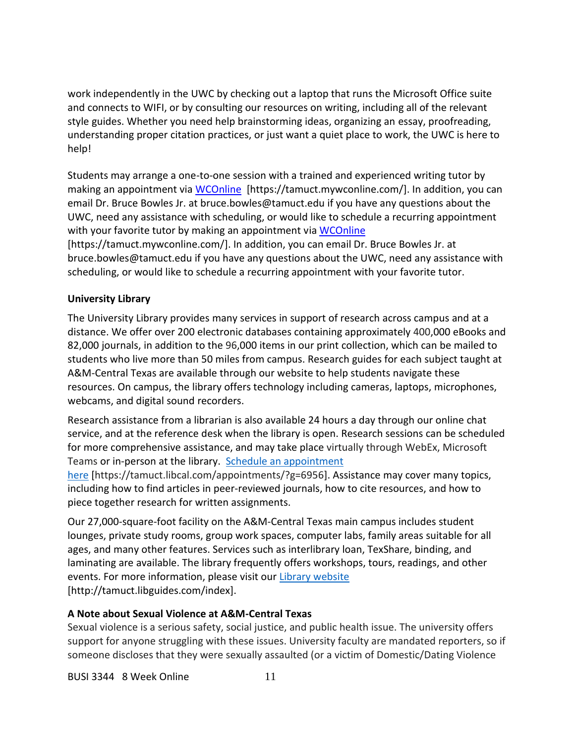work independently in the UWC by checking out a laptop that runs the Microsoft Office suite and connects to WIFI, or by consulting our resources on writing, including all of the relevant style guides. Whether you need help brainstorming ideas, organizing an essay, proofreading, understanding proper citation practices, or just want a quiet place to work, the UWC is here to help!

Students may arrange a one-to-one session with a trained and experienced writing tutor by making an appointment via [WCOnline](https://tamuct.mywconline.com/) [https://tamuct.mywconline.com/]. In addition, you can email Dr. Bruce Bowles Jr. at bruce.bowles@tamuct.edu if you have any questions about the UWC, need any assistance with scheduling, or would like to schedule a recurring appointment with your favorite tutor by making an appointment via [WCOnline](https://tamuct.mywconline.com/)

[https://tamuct.mywconline.com/]. In addition, you can email Dr. Bruce Bowles Jr. at bruce.bowles@tamuct.edu if you have any questions about the UWC, need any assistance with scheduling, or would like to schedule a recurring appointment with your favorite tutor.

# **University Library**

The University Library provides many services in support of research across campus and at a distance. We offer over 200 electronic databases containing approximately 400,000 eBooks and 82,000 journals, in addition to the 96,000 items in our print collection, which can be mailed to students who live more than 50 miles from campus. Research guides for each subject taught at A&M-Central Texas are available through our website to help students navigate these resources. On campus, the library offers technology including cameras, laptops, microphones, webcams, and digital sound recorders.

Research assistance from a librarian is also available 24 hours a day through our online chat service, and at the reference desk when the library is open. Research sessions can be scheduled for more comprehensive assistance, and may take place virtually through WebEx, Microsoft Teams or in-person at the library. Schedule an [appointment](https://nam04.safelinks.protection.outlook.com/?url=https%3A%2F%2Ftamuct.libcal.com%2Fappointments%2F%3Fg%3D6956&data=04%7C01%7Clisa.bunkowski%40tamuct.edu%7Cde2c07d9f5804f09518008d9ab7ba6ff%7C9eed4e3000f744849ff193ad8005acec%7C0%7C0%7C637729369835011558%7CUnknown%7CTWFpbGZsb3d8eyJWIjoiMC4wLjAwMDAiLCJQIjoiV2luMzIiLCJBTiI6Ik1haWwiLCJXVCI6Mn0%3D%7C3000&sdata=KhtjgRSAw9aq%2FoBsB6wyu8b7PSuGN5EGPypzr3Ty2No%3D&reserved=0)

[here](https://nam04.safelinks.protection.outlook.com/?url=https%3A%2F%2Ftamuct.libcal.com%2Fappointments%2F%3Fg%3D6956&data=04%7C01%7Clisa.bunkowski%40tamuct.edu%7Cde2c07d9f5804f09518008d9ab7ba6ff%7C9eed4e3000f744849ff193ad8005acec%7C0%7C0%7C637729369835011558%7CUnknown%7CTWFpbGZsb3d8eyJWIjoiMC4wLjAwMDAiLCJQIjoiV2luMzIiLCJBTiI6Ik1haWwiLCJXVCI6Mn0%3D%7C3000&sdata=KhtjgRSAw9aq%2FoBsB6wyu8b7PSuGN5EGPypzr3Ty2No%3D&reserved=0) [https://tamuct.libcal.com/appointments/?g=6956]. Assistance may cover many topics, including how to find articles in peer-reviewed journals, how to cite resources, and how to piece together research for written assignments.

Our 27,000-square-foot facility on the A&M-Central Texas main campus includes student lounges, private study rooms, group work spaces, computer labs, family areas suitable for all ages, and many other features. Services such as interlibrary loan, TexShare, binding, and laminating are available. The library frequently offers workshops, tours, readings, and other events. For more information, please visit our Library [website](https://nam04.safelinks.protection.outlook.com/?url=https%3A%2F%2Ftamuct.libguides.com%2Findex&data=04%7C01%7Clisa.bunkowski%40tamuct.edu%7C7d8489e8839a4915335f08d916f067f2%7C9eed4e3000f744849ff193ad8005acec%7C0%7C0%7C637566044056484222%7CUnknown%7CTWFpbGZsb3d8eyJWIjoiMC4wLjAwMDAiLCJQIjoiV2luMzIiLCJBTiI6Ik1haWwiLCJXVCI6Mn0%3D%7C1000&sdata=2R755V6rcIyedGrd4Os5rkgn1PvhHKU3kUV1vBKiHFo%3D&reserved=0) [http://tamuct.libguides.com/index].

# **A Note about Sexual Violence at A&M-Central Texas**

Sexual violence is a serious safety, social justice, and public health issue. The university offers support for anyone struggling with these issues. University faculty are mandated reporters, so if someone discloses that they were sexually assaulted (or a victim of Domestic/Dating Violence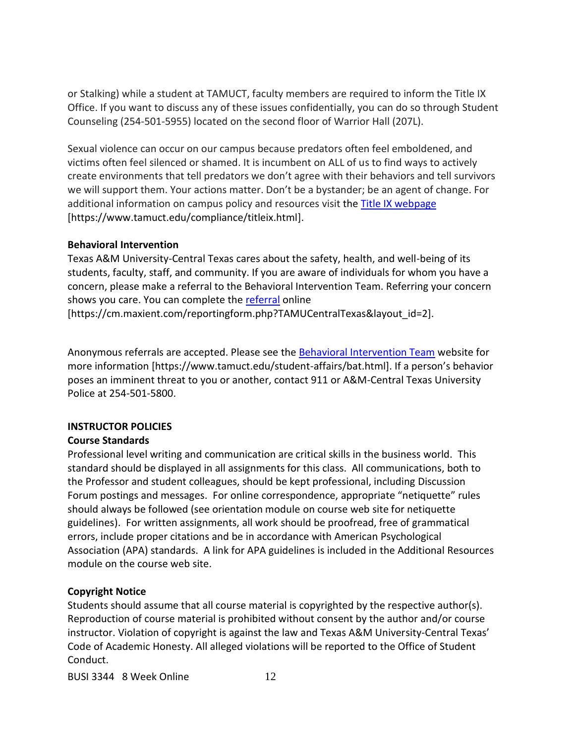or Stalking) while a student at TAMUCT, faculty members are required to inform the Title IX Office. If you want to discuss any of these issues confidentially, you can do so through Student Counseling (254-501-5955) located on the second floor of Warrior Hall (207L).

Sexual violence can occur on our campus because predators often feel emboldened, and victims often feel silenced or shamed. It is incumbent on ALL of us to find ways to actively create environments that tell predators we don't agree with their behaviors and tell survivors we will support them. Your actions matter. Don't be a bystander; be an agent of change. For additional information on campus policy and resources visit the [Title IX webpage](https://www.tamuct.edu/compliance/titleix.html) [\[https://www.tamuct.edu/compliance/titleix.html\]](https://www.tamuct.edu/compliance/titleix.html).

#### **Behavioral Intervention**

Texas A&M University-Central Texas cares about the safety, health, and well-being of its students, faculty, staff, and community. If you are aware of individuals for whom you have a concern, please make a referral to the Behavioral Intervention Team. Referring your concern shows you care. You can complete the [referral](https://cm.maxient.com/reportingform.php?TAMUCentralTexas&layout_id=2) online [https://cm.maxient.com/reportingform.php?TAMUCentralTexas&layout\_id=2].

Anonymous referrals are accepted. Please see the [Behavioral Intervention Team](https://www.tamuct.edu/student-affairs/bat.html) website for more information [https://www.tamuct.edu/student-affairs/bat.html]. If a person's behavior poses an imminent threat to you or another, contact 911 or A&M-Central Texas University Police at 254-501-5800.

### **INSTRUCTOR POLICIES**

### **Course Standards**

Professional level writing and communication are critical skills in the business world. This standard should be displayed in all assignments for this class. All communications, both to the Professor and student colleagues, should be kept professional, including Discussion Forum postings and messages. For online correspondence, appropriate "netiquette" rules should always be followed (see orientation module on course web site for netiquette guidelines). For written assignments, all work should be proofread, free of grammatical errors, include proper citations and be in accordance with American Psychological Association (APA) standards. A link for APA guidelines is included in the Additional Resources module on the course web site.

### **Copyright Notice**

Students should assume that all course material is copyrighted by the respective author(s). Reproduction of course material is prohibited without consent by the author and/or course instructor. Violation of copyright is against the law and Texas A&M University-Central Texas' Code of Academic Honesty. All alleged violations will be reported to the Office of Student Conduct.